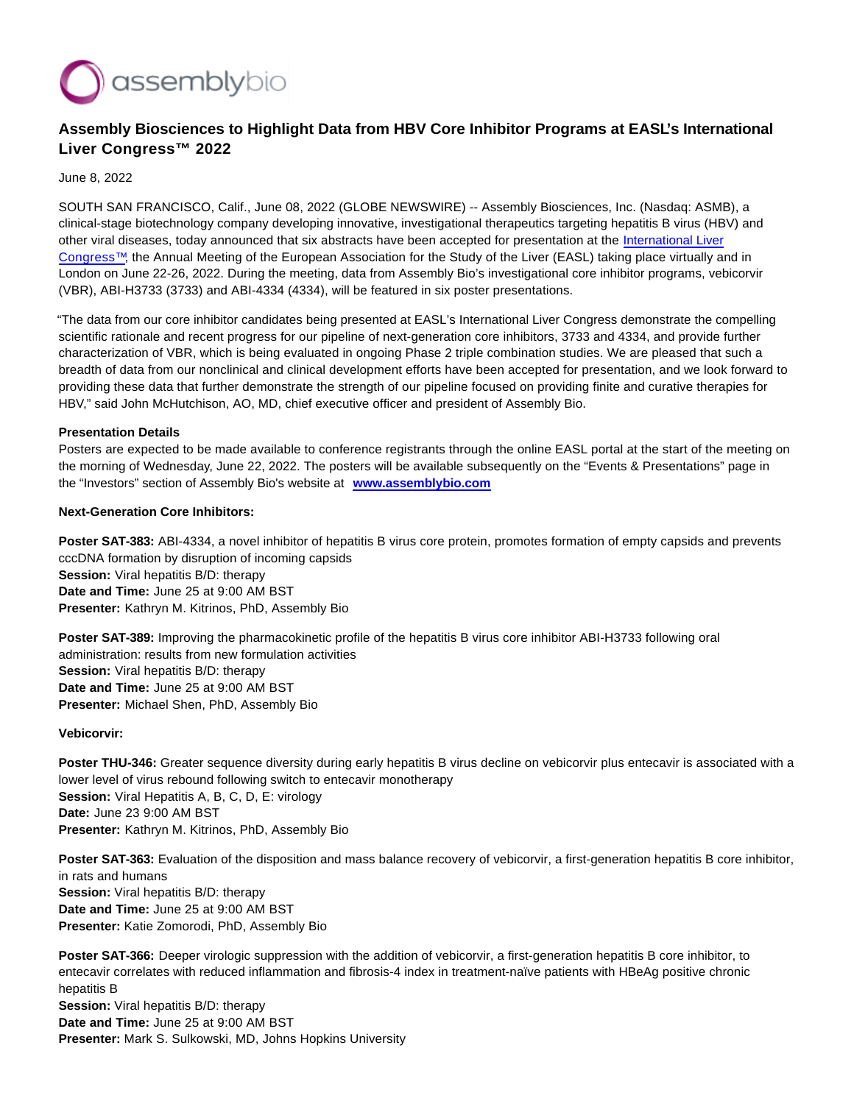

# **Assembly Biosciences to Highlight Data from HBV Core Inhibitor Programs at EASL's International Liver Congress™ 2022**

June 8, 2022

SOUTH SAN FRANCISCO, Calif., June 08, 2022 (GLOBE NEWSWIRE) -- Assembly Biosciences, Inc. (Nasdaq: ASMB), a clinical-stage biotechnology company developing innovative, investigational therapeutics targeting hepatitis B virus (HBV) and other viral diseases, today announced that six abstracts have been accepted for presentation at the [International Liver](https://www.globenewswire.com/Tracker?data=dYFU13TryF2ePB3fYVeAXCr0sdEy7W8hFhOgBok4WfaOYrtRuQET15y2Za89sxEz8SQKSMy2OFuvLwB6IDFTZ-8d_3wxJpJJh8hzpEI3U-UEWC9B9tu1j__Hn-LLmNKHDa7JDn7e0Rf5xsgvK0f7hg==) Congress™, the Annual Meeting of the European Association for the Study of the Liver (EASL) taking place virtually and in London on June 22-26, 2022. During the meeting, data from Assembly Bio's investigational core inhibitor programs, vebicorvir (VBR), ABI-H3733 (3733) and ABI-4334 (4334), will be featured in six poster presentations.

"The data from our core inhibitor candidates being presented at EASL's International Liver Congress demonstrate the compelling scientific rationale and recent progress for our pipeline of next-generation core inhibitors, 3733 and 4334, and provide further characterization of VBR, which is being evaluated in ongoing Phase 2 triple combination studies. We are pleased that such a breadth of data from our nonclinical and clinical development efforts have been accepted for presentation, and we look forward to providing these data that further demonstrate the strength of our pipeline focused on providing finite and curative therapies for HBV," said John McHutchison, AO, MD, chief executive officer and president of Assembly Bio.

### **Presentation Details**

Posters are expected to be made available to conference registrants through the online EASL portal at the start of the meeting on the morning of Wednesday, June 22, 2022. The posters will be available subsequently on the "Events & Presentations" page in the "Investors" section of Assembly Bio's website at **[www.assemblybio.com](https://www.globenewswire.com/Tracker?data=--OUFFqHnYLRhQp7wHGjOv7dusRCIh4PTltbCx4NYBXrwQat2zYLJDKdASk8tOQLkgr53XNS1635GsoF_rsyUUNkwMgMwADBNWFR1__O09wPmprhHX8JhYeojtq-HWFdmRt9FB9whlAHCCYm758Sks5tv__JpQO_j8XiDEPpqQDpoeVWeANNY_DW1_2b_yaMFOmyQfAubRCWh3_80r6NHPgeWvIv04FUZ3xqB3UgIBV--v-VgguCTqnrgyt5beyr)**

#### **Next-Generation Core Inhibitors:**

**Poster SAT-383:** ABI-4334, a novel inhibitor of hepatitis B virus core protein, promotes formation of empty capsids and prevents cccDNA formation by disruption of incoming capsids **Session:** Viral hepatitis B/D: therapy **Date and Time:** June 25 at 9:00 AM BST **Presenter:** Kathryn M. Kitrinos, PhD, Assembly Bio

**Poster SAT-389:** Improving the pharmacokinetic profile of the hepatitis B virus core inhibitor ABI-H3733 following oral administration: results from new formulation activities **Session:** Viral hepatitis B/D: therapy **Date and Time:** June 25 at 9:00 AM BST **Presenter:** Michael Shen, PhD, Assembly Bio

**Vebicorvir:**

Poster THU-346: Greater sequence diversity during early hepatitis B virus decline on vebicorvir plus entecavir is associated with a lower level of virus rebound following switch to entecavir monotherapy **Session:** Viral Hepatitis A, B, C, D, E: virology **Date:** June 23 9:00 AM BST **Presenter:** Kathryn M. Kitrinos, PhD, Assembly Bio

**Poster SAT-363:** Evaluation of the disposition and mass balance recovery of vebicorvir, a first-generation hepatitis B core inhibitor, in rats and humans **Session:** Viral hepatitis B/D: therapy **Date and Time:** June 25 at 9:00 AM BST **Presenter:** Katie Zomorodi, PhD, Assembly Bio

**Poster SAT-366:** Deeper virologic suppression with the addition of vebicorvir, a first-generation hepatitis B core inhibitor, to entecavir correlates with reduced inflammation and fibrosis-4 index in treatment-naïve patients with HBeAg positive chronic hepatitis B **Session:** Viral hepatitis B/D: therapy **Date and Time:** June 25 at 9:00 AM BST **Presenter:** Mark S. Sulkowski, MD, Johns Hopkins University